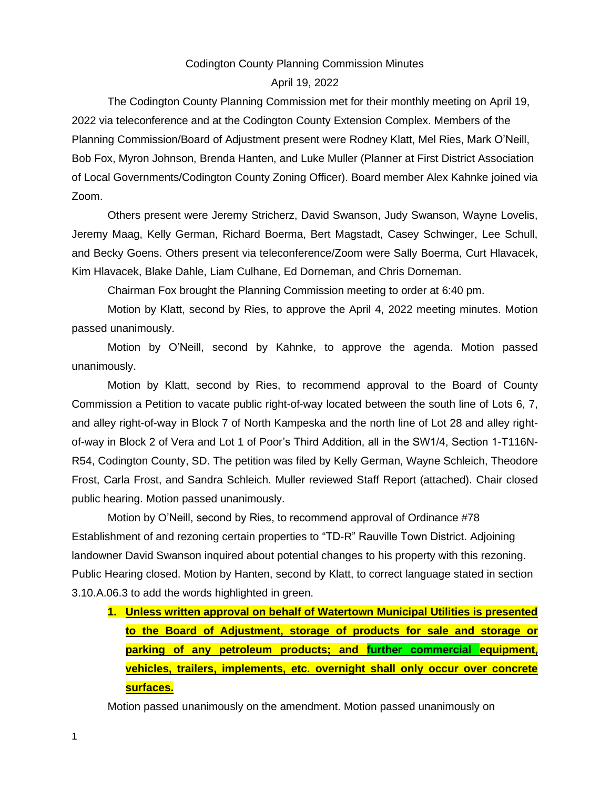### Codington County Planning Commission Minutes

#### April 19, 2022

The Codington County Planning Commission met for their monthly meeting on April 19, 2022 via teleconference and at the Codington County Extension Complex. Members of the Planning Commission/Board of Adjustment present were Rodney Klatt, Mel Ries, Mark O'Neill, Bob Fox, Myron Johnson, Brenda Hanten, and Luke Muller (Planner at First District Association of Local Governments/Codington County Zoning Officer). Board member Alex Kahnke joined via Zoom.

Others present were Jeremy Stricherz, David Swanson, Judy Swanson, Wayne Lovelis, Jeremy Maag, Kelly German, Richard Boerma, Bert Magstadt, Casey Schwinger, Lee Schull, and Becky Goens. Others present via teleconference/Zoom were Sally Boerma, Curt Hlavacek, Kim Hlavacek, Blake Dahle, Liam Culhane, Ed Dorneman, and Chris Dorneman.

Chairman Fox brought the Planning Commission meeting to order at 6:40 pm.

Motion by Klatt, second by Ries, to approve the April 4, 2022 meeting minutes. Motion passed unanimously.

Motion by O'Neill, second by Kahnke, to approve the agenda. Motion passed unanimously.

Motion by Klatt, second by Ries, to recommend approval to the Board of County Commission a Petition to vacate public right-of-way located between the south line of Lots 6, 7, and alley right-of-way in Block 7 of North Kampeska and the north line of Lot 28 and alley rightof-way in Block 2 of Vera and Lot 1 of Poor's Third Addition, all in the SW1/4, Section 1-T116N-R54, Codington County, SD. The petition was filed by Kelly German, Wayne Schleich, Theodore Frost, Carla Frost, and Sandra Schleich. Muller reviewed Staff Report (attached). Chair closed public hearing. Motion passed unanimously.

Motion by O'Neill, second by Ries, to recommend approval of Ordinance #78 Establishment of and rezoning certain properties to "TD-R" Rauville Town District. Adjoining landowner David Swanson inquired about potential changes to his property with this rezoning. Public Hearing closed. Motion by Hanten, second by Klatt, to correct language stated in section 3.10.A.06.3 to add the words highlighted in green.

**1. Unless written approval on behalf of Watertown Municipal Utilities is presented to the Board of Adjustment, storage of products for sale and storage or parking of any petroleum products; and further commercial equipment, vehicles, trailers, implements, etc. overnight shall only occur over concrete surfaces.**

Motion passed unanimously on the amendment. Motion passed unanimously on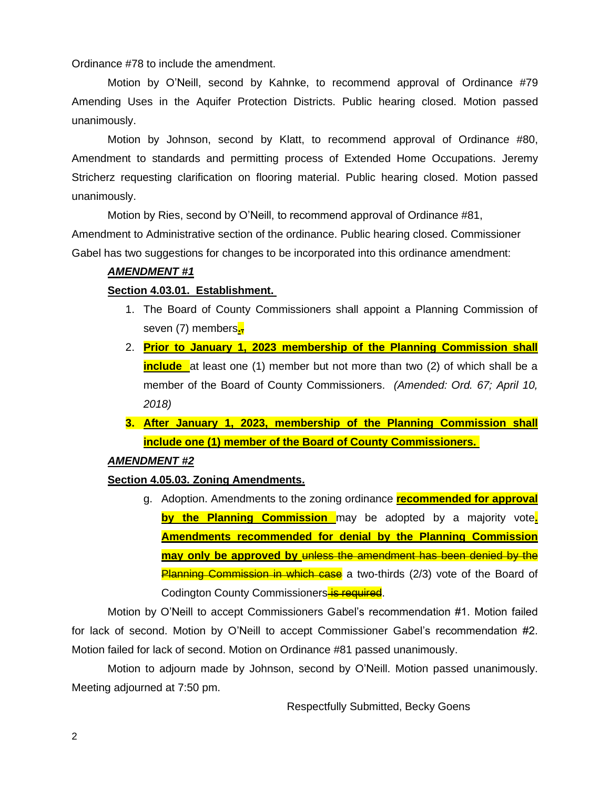Ordinance #78 to include the amendment.

Motion by O'Neill, second by Kahnke, to recommend approval of Ordinance #79 Amending Uses in the Aquifer Protection Districts. Public hearing closed. Motion passed unanimously.

Motion by Johnson, second by Klatt, to recommend approval of Ordinance #80, Amendment to standards and permitting process of Extended Home Occupations. Jeremy Stricherz requesting clarification on flooring material. Public hearing closed. Motion passed unanimously.

Motion by Ries, second by O'Neill, to recommend approval of Ordinance #81,

Amendment to Administrative section of the ordinance. Public hearing closed. Commissioner Gabel has two suggestions for changes to be incorporated into this ordinance amendment:

# *AMENDMENT #1*

# **Section 4.03.01. Establishment.**

- 1. The Board of County Commissioners shall appoint a Planning Commission of seven (7) members**.**,
- 2. **Prior to January 1, 2023 membership of the Planning Commission shall include** at least one (1) member but not more than two (2) of which shall be a member of the Board of County Commissioners. *(Amended: Ord. 67; April 10, 2018)*
- **3. After January 1, 2023, membership of the Planning Commission shall include one (1) member of the Board of County Commissioners.**

### *AMENDMENT #2*

# **Section 4.05.03. Zoning Amendments.**

g. Adoption. Amendments to the zoning ordinance **recommended for approval by the Planning Commission** may be adopted by a majority vote**. Amendments recommended for denial by the Planning Commission may only be approved by** unless the amendment has been denied by the Planning Commission in which case a two-thirds (2/3) vote of the Board of Codington County Commissioners is required.

Motion by O'Neill to accept Commissioners Gabel's recommendation #1. Motion failed for lack of second. Motion by O'Neill to accept Commissioner Gabel's recommendation #2. Motion failed for lack of second. Motion on Ordinance #81 passed unanimously.

Motion to adjourn made by Johnson, second by O'Neill. Motion passed unanimously. Meeting adjourned at 7:50 pm.

Respectfully Submitted, Becky Goens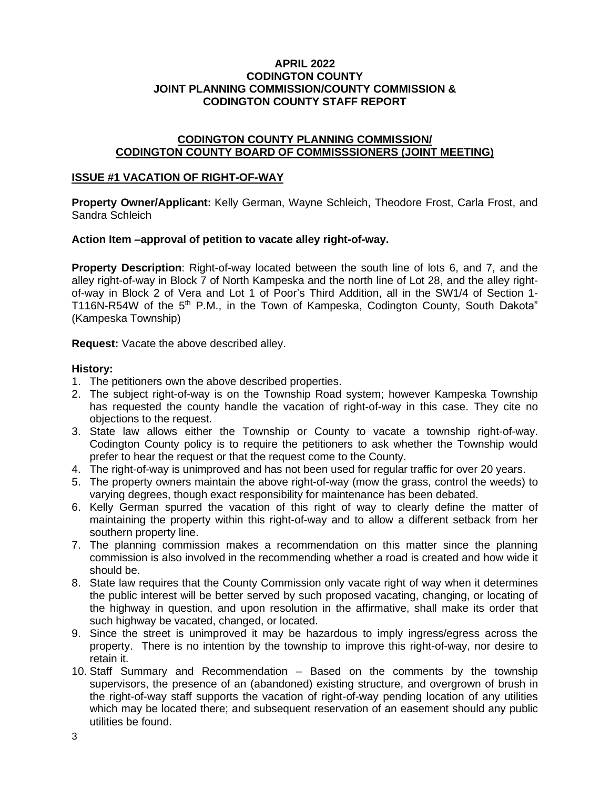### **APRIL 2022 CODINGTON COUNTY JOINT PLANNING COMMISSION/COUNTY COMMISSION & CODINGTON COUNTY STAFF REPORT**

# **CODINGTON COUNTY PLANNING COMMISSION/ CODINGTON COUNTY BOARD OF COMMISSSIONERS (JOINT MEETING)**

### **ISSUE #1 VACATION OF RIGHT-OF-WAY**

**Property Owner/Applicant:** Kelly German, Wayne Schleich, Theodore Frost, Carla Frost, and Sandra Schleich

### **Action Item –approval of petition to vacate alley right-of-way.**

**Property Description**: Right-of-way located between the south line of lots 6, and 7, and the alley right-of-way in Block 7 of North Kampeska and the north line of Lot 28, and the alley rightof-way in Block 2 of Vera and Lot 1 of Poor's Third Addition, all in the SW1/4 of Section 1- T116N-R54W of the 5<sup>th</sup> P.M., in the Town of Kampeska, Codington County, South Dakota" (Kampeska Township)

**Request:** Vacate the above described alley.

### **History:**

- 1. The petitioners own the above described properties.
- 2. The subject right-of-way is on the Township Road system; however Kampeska Township has requested the county handle the vacation of right-of-way in this case. They cite no objections to the request.
- 3. State law allows either the Township or County to vacate a township right-of-way. Codington County policy is to require the petitioners to ask whether the Township would prefer to hear the request or that the request come to the County.
- 4. The right-of-way is unimproved and has not been used for regular traffic for over 20 years.
- 5. The property owners maintain the above right-of-way (mow the grass, control the weeds) to varying degrees, though exact responsibility for maintenance has been debated.
- 6. Kelly German spurred the vacation of this right of way to clearly define the matter of maintaining the property within this right-of-way and to allow a different setback from her southern property line.
- 7. The planning commission makes a recommendation on this matter since the planning commission is also involved in the recommending whether a road is created and how wide it should be.
- 8. State law requires that the County Commission only vacate right of way when it determines the public interest will be better served by such proposed vacating, changing, or locating of the highway in question, and upon resolution in the affirmative, shall make its order that such highway be vacated, changed, or located.
- 9. Since the street is unimproved it may be hazardous to imply ingress/egress across the property. There is no intention by the township to improve this right-of-way, nor desire to retain it.
- 10. Staff Summary and Recommendation Based on the comments by the township supervisors, the presence of an (abandoned) existing structure, and overgrown of brush in the right-of-way staff supports the vacation of right-of-way pending location of any utilities which may be located there; and subsequent reservation of an easement should any public utilities be found.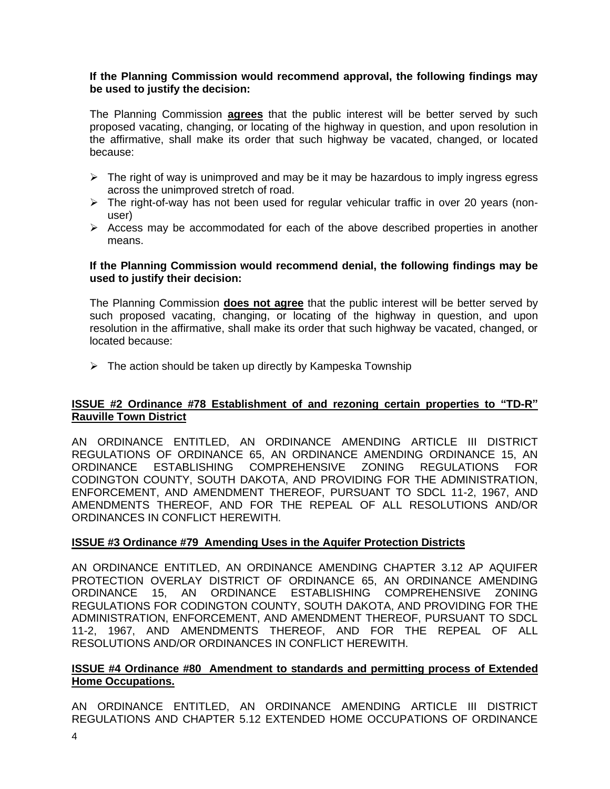### **If the Planning Commission would recommend approval, the following findings may be used to justify the decision:**

The Planning Commission **agrees** that the public interest will be better served by such proposed vacating, changing, or locating of the highway in question, and upon resolution in the affirmative, shall make its order that such highway be vacated, changed, or located because:

- $\triangleright$  The right of way is unimproved and may be it may be hazardous to imply ingress egress across the unimproved stretch of road.
- $\triangleright$  The right-of-way has not been used for regular vehicular traffic in over 20 years (nonuser)
- ➢ Access may be accommodated for each of the above described properties in another means.

### **If the Planning Commission would recommend denial, the following findings may be used to justify their decision:**

The Planning Commission **does not agree** that the public interest will be better served by such proposed vacating, changing, or locating of the highway in question, and upon resolution in the affirmative, shall make its order that such highway be vacated, changed, or located because:

 $\triangleright$  The action should be taken up directly by Kampeska Township

# **ISSUE #2 Ordinance #78 Establishment of and rezoning certain properties to "TD-R" Rauville Town District**

AN ORDINANCE ENTITLED, AN ORDINANCE AMENDING ARTICLE III DISTRICT REGULATIONS OF ORDINANCE 65, AN ORDINANCE AMENDING ORDINANCE 15, AN ORDINANCE ESTABLISHING COMPREHENSIVE ZONING REGULATIONS FOR CODINGTON COUNTY, SOUTH DAKOTA, AND PROVIDING FOR THE ADMINISTRATION, ENFORCEMENT, AND AMENDMENT THEREOF, PURSUANT TO SDCL 11-2, 1967, AND AMENDMENTS THEREOF, AND FOR THE REPEAL OF ALL RESOLUTIONS AND/OR ORDINANCES IN CONFLICT HEREWITH.

# **ISSUE #3 Ordinance #79 Amending Uses in the Aquifer Protection Districts**

AN ORDINANCE ENTITLED, AN ORDINANCE AMENDING CHAPTER 3.12 AP AQUIFER PROTECTION OVERLAY DISTRICT OF ORDINANCE 65, AN ORDINANCE AMENDING ORDINANCE 15, AN ORDINANCE ESTABLISHING COMPREHENSIVE ZONING REGULATIONS FOR CODINGTON COUNTY, SOUTH DAKOTA, AND PROVIDING FOR THE ADMINISTRATION, ENFORCEMENT, AND AMENDMENT THEREOF, PURSUANT TO SDCL 11-2, 1967, AND AMENDMENTS THEREOF, AND FOR THE REPEAL OF ALL RESOLUTIONS AND/OR ORDINANCES IN CONFLICT HEREWITH.

# **ISSUE #4 Ordinance #80 Amendment to standards and permitting process of Extended Home Occupations.**

AN ORDINANCE ENTITLED, AN ORDINANCE AMENDING ARTICLE III DISTRICT REGULATIONS AND CHAPTER 5.12 EXTENDED HOME OCCUPATIONS OF ORDINANCE